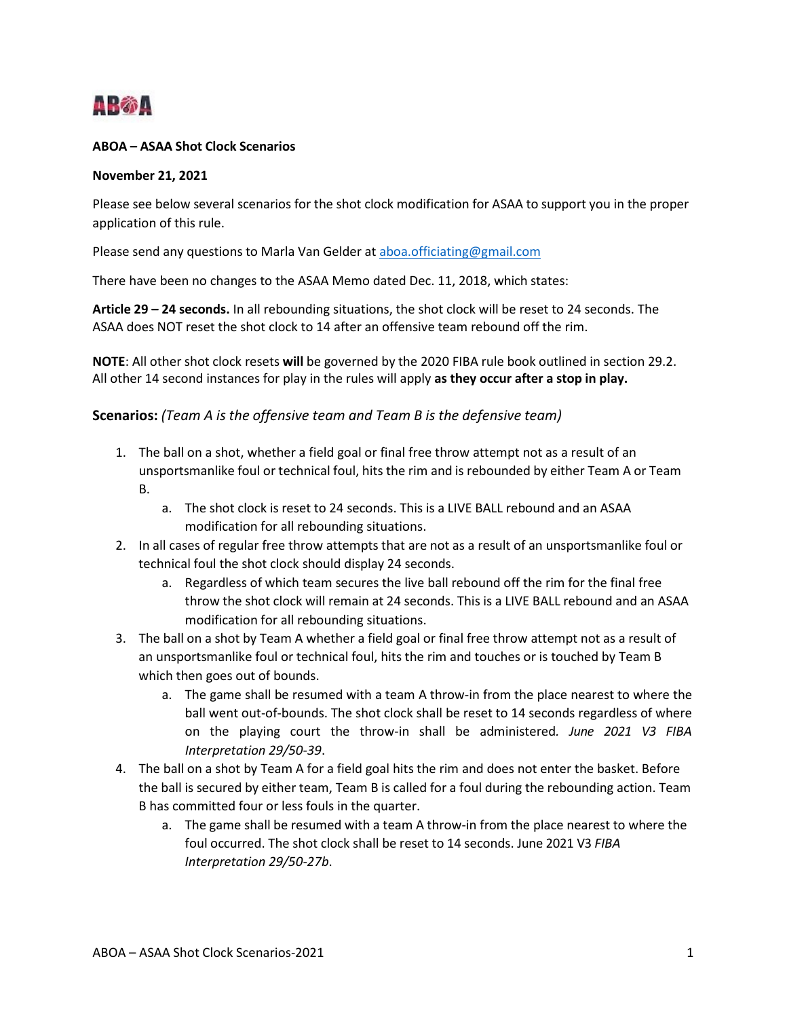

## **ABOA – ASAA Shot Clock Scenarios**

## **November 21, 2021**

Please see below several scenarios for the shot clock modification for ASAA to support you in the proper application of this rule.

Please send any questions to Marla Van Gelder at [aboa.officiating@gmail.com](mailto:aboa.officiating@gmail.com)

There have been no changes to the ASAA Memo dated Dec. 11, 2018, which states:

**Article 29 – 24 seconds.** In all rebounding situations, the shot clock will be reset to 24 seconds. The ASAA does NOT reset the shot clock to 14 after an offensive team rebound off the rim.

**NOTE**: All other shot clock resets **will** be governed by the 2020 FIBA rule book outlined in section 29.2. All other 14 second instances for play in the rules will apply **as they occur after a stop in play.**

## **Scenarios:** *(Team A is the offensive team and Team B is the defensive team)*

- 1. The ball on a shot, whether a field goal or final free throw attempt not as a result of an unsportsmanlike foul or technical foul, hits the rim and is rebounded by either Team A or Team B.
	- a. The shot clock is reset to 24 seconds. This is a LIVE BALL rebound and an ASAA modification for all rebounding situations.
- 2. In all cases of regular free throw attempts that are not as a result of an unsportsmanlike foul or technical foul the shot clock should display 24 seconds.
	- a. Regardless of which team secures the live ball rebound off the rim for the final free throw the shot clock will remain at 24 seconds. This is a LIVE BALL rebound and an ASAA modification for all rebounding situations.
- 3. The ball on a shot by Team A whether a field goal or final free throw attempt not as a result of an unsportsmanlike foul or technical foul, hits the rim and touches or is touched by Team B which then goes out of bounds.
	- a. The game shall be resumed with a team A throw-in from the place nearest to where the ball went out-of-bounds. The shot clock shall be reset to 14 seconds regardless of where on the playing court the throw-in shall be administered*. June 2021 V3 FIBA Interpretation 29/50‐39*.
- 4. The ball on a shot by Team A for a field goal hits the rim and does not enter the basket. Before the ball is secured by either team, Team B is called for a foul during the rebounding action. Team B has committed four or less fouls in the quarter.
	- a. The game shall be resumed with a team A throw-in from the place nearest to where the foul occurred. The shot clock shall be reset to 14 seconds. June 2021 V3 *FIBA Interpretation 29/50‐27b*.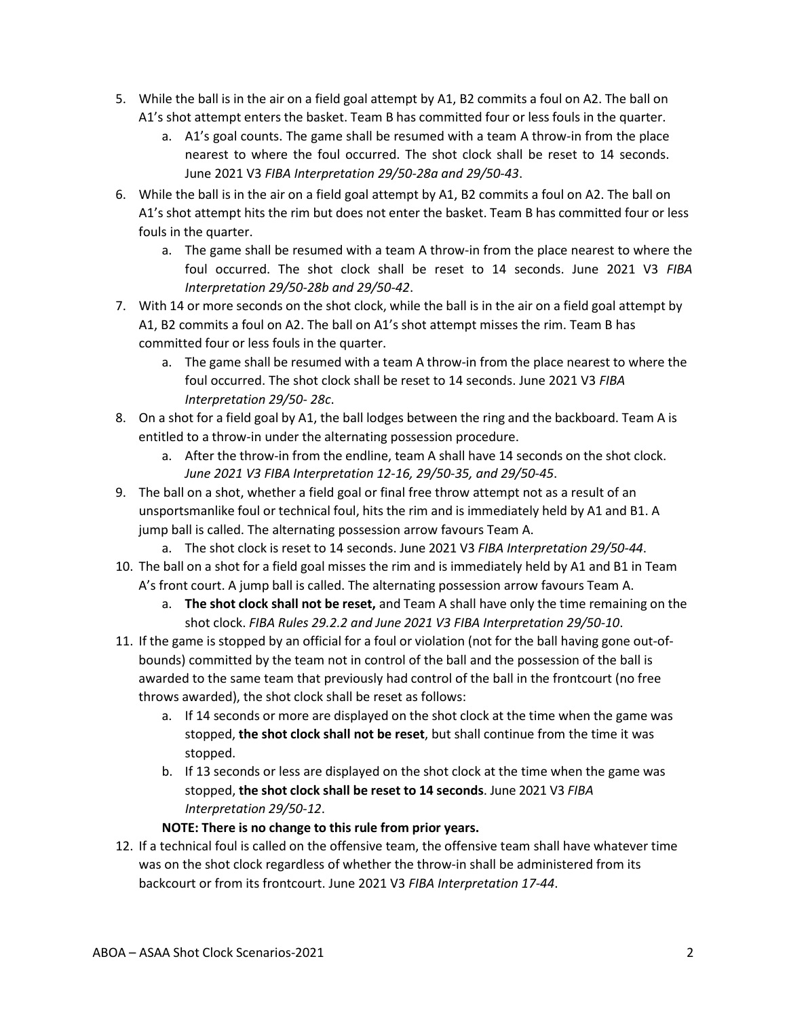- 5. While the ball is in the air on a field goal attempt by A1, B2 commits a foul on A2. The ball on A1's shot attempt enters the basket. Team B has committed four or less fouls in the quarter.
	- a. A1's goal counts. The game shall be resumed with a team A throw-in from the place nearest to where the foul occurred. The shot clock shall be reset to 14 seconds. June 2021 V3 *FIBA Interpretation 29/50‐28a and 29/50‐43*.
- 6. While the ball is in the air on a field goal attempt by A1, B2 commits a foul on A2. The ball on A1's shot attempt hits the rim but does not enter the basket. Team B has committed four or less fouls in the quarter.
	- a. The game shall be resumed with a team A throw-in from the place nearest to where the foul occurred. The shot clock shall be reset to 14 seconds. June 2021 V3 *FIBA Interpretation 29/50‐28b and 29/50‐42*.
- 7. With 14 or more seconds on the shot clock, while the ball is in the air on a field goal attempt by A1, B2 commits a foul on A2. The ball on A1's shot attempt misses the rim. Team B has committed four or less fouls in the quarter.
	- a. The game shall be resumed with a team A throw-in from the place nearest to where the foul occurred. The shot clock shall be reset to 14 seconds. June 2021 V3 *FIBA Interpretation 29/50‐ 28c*.
- 8. On a shot for a field goal by A1, the ball lodges between the ring and the backboard. Team A is entitled to a throw-in under the alternating possession procedure.
	- a. After the throw-in from the endline, team A shall have 14 seconds on the shot clock. *June 2021 V3 FIBA Interpretation 12‐16, 29/50-35, and 29/50-45*.
- 9. The ball on a shot, whether a field goal or final free throw attempt not as a result of an unsportsmanlike foul or technical foul, hits the rim and is immediately held by A1 and B1. A jump ball is called. The alternating possession arrow favours Team A.
	- a. The shot clock is reset to 14 seconds. June 2021 V3 *FIBA Interpretation 29/50‐44*.
- 10. The ball on a shot for a field goal misses the rim and is immediately held by A1 and B1 in Team A's front court. A jump ball is called. The alternating possession arrow favours Team A.
	- a. **The shot clock shall not be reset,** and Team A shall have only the time remaining on the shot clock. *FIBA Rules 29.2.2 and June 2021 V3 FIBA Interpretation 29/50‐10*.
- 11. If the game is stopped by an official for a foul or violation (not for the ball having gone out-ofbounds) committed by the team not in control of the ball and the possession of the ball is awarded to the same team that previously had control of the ball in the frontcourt (no free throws awarded), the shot clock shall be reset as follows:
	- a. If 14 seconds or more are displayed on the shot clock at the time when the game was stopped, **the shot clock shall not be reset**, but shall continue from the time it was stopped.
	- b. If 13 seconds or less are displayed on the shot clock at the time when the game was stopped, **the shot clock shall be reset to 14 seconds**. June 2021 V3 *FIBA Interpretation 29/50‐12*.

## **NOTE: There is no change to this rule from prior years.**

12. If a technical foul is called on the offensive team, the offensive team shall have whatever time was on the shot clock regardless of whether the throw-in shall be administered from its backcourt or from its frontcourt. June 2021 V3 *FIBA Interpretation 17-44*.